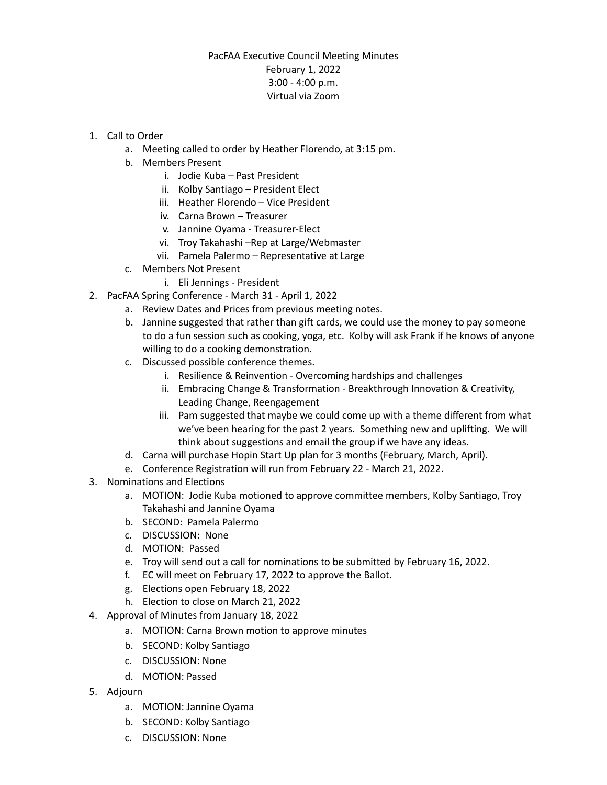## PacFAA Executive Council Meeting Minutes February 1, 2022 3:00 - 4:00 p.m. Virtual via Zoom

- 1. Call to Order
	- a. Meeting called to order by Heather Florendo, at 3:15 pm.
	- b. Members Present
		- i. Jodie Kuba Past President
		- ii. Kolby Santiago President Elect
		- iii. Heather Florendo Vice President
		- iv. Carna Brown Treasurer
		- v. Jannine Oyama Treasurer-Elect
		- vi. Troy Takahashi –Rep at Large/Webmaster
		- vii. Pamela Palermo Representative at Large
	- c. Members Not Present
		- i. Eli Jennings President
- 2. PacFAA Spring Conference March 31 April 1, 2022
	- a. Review Dates and Prices from previous meeting notes.
	- b. Jannine suggested that rather than gift cards, we could use the money to pay someone to do a fun session such as cooking, yoga, etc. Kolby will ask Frank if he knows of anyone willing to do a cooking demonstration.
	- c. Discussed possible conference themes.
		- i. Resilience & Reinvention Overcoming hardships and challenges
		- ii. Embracing Change & Transformation Breakthrough Innovation & Creativity, Leading Change, Reengagement
		- iii. Pam suggested that maybe we could come up with a theme different from what we've been hearing for the past 2 years. Something new and uplifting. We will think about suggestions and email the group if we have any ideas.
	- d. Carna will purchase Hopin Start Up plan for 3 months (February, March, April).
	- e. Conference Registration will run from February 22 March 21, 2022.
- 3. Nominations and Elections
	- a. MOTION: Jodie Kuba motioned to approve committee members, Kolby Santiago, Troy Takahashi and Jannine Oyama
	- b. SECOND: Pamela Palermo
	- c. DISCUSSION: None
	- d. MOTION: Passed
	- e. Troy will send out a call for nominations to be submitted by February 16, 2022.
	- f. EC will meet on February 17, 2022 to approve the Ballot.
	- g. Elections open February 18, 2022
	- h. Election to close on March 21, 2022
- 4. Approval of Minutes from January 18, 2022
	- a. MOTION: Carna Brown motion to approve minutes
	- b. SECOND: Kolby Santiago
	- c. DISCUSSION: None
	- d. MOTION: Passed
- 5. Adjourn
	- a. MOTION: Jannine Oyama
	- b. SECOND: Kolby Santiago
	- c. DISCUSSION: None